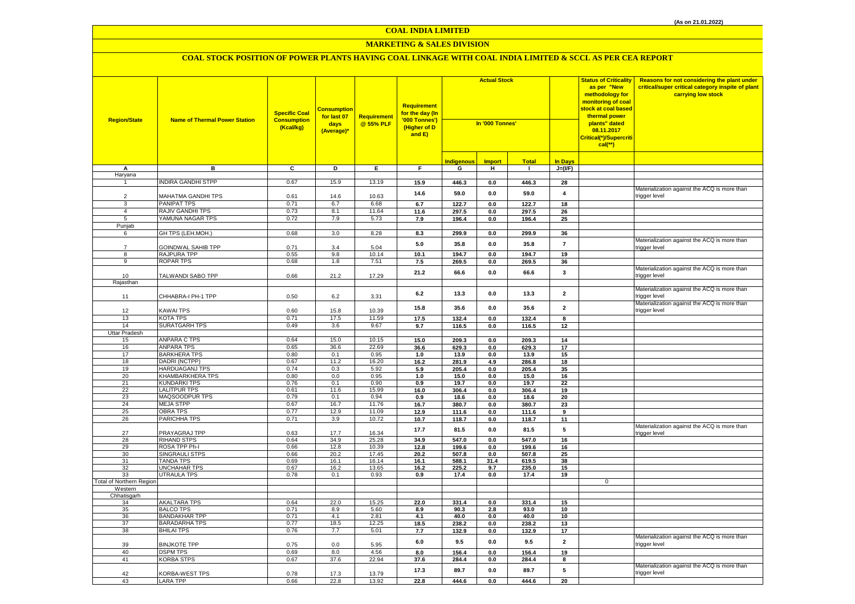## **MARKETING & SALES DIVISION**

| <b>Region/State</b>      | <b>Name of Thermal Power Station</b>      | <b>Specific Coal</b><br><b>Consumption</b><br>(Kcal/kg) | <mark>Consumption</mark><br>for last 07<br>days<br>(Average)* | Requirement<br>@ 55% PLF | <b>Requirement</b><br>for the day (In<br>'000 Tonnes')<br>(Higher of D<br>and E) | <b>Actual Stock</b><br>In '000 Tonnes' |                       | <b>Status of Criticality</b><br>as per "New<br>methodology for<br>monitoring of coal<br><mark>stock at coal based</mark><br>thermal power<br>plants" dated<br>08.11.2017<br>Critical(*)/Supercriti<br>$cal$ (**) |                         | Reasons for not considering the plant under<br>critical/super critical category inspite of plant<br>carrying low stock |                                                               |
|--------------------------|-------------------------------------------|---------------------------------------------------------|---------------------------------------------------------------|--------------------------|----------------------------------------------------------------------------------|----------------------------------------|-----------------------|------------------------------------------------------------------------------------------------------------------------------------------------------------------------------------------------------------------|-------------------------|------------------------------------------------------------------------------------------------------------------------|---------------------------------------------------------------|
|                          |                                           |                                                         |                                                               |                          |                                                                                  | <b>Indigenous</b>                      | <b>Import</b>         | <b>Total</b>                                                                                                                                                                                                     | <b>In Days</b>          |                                                                                                                        |                                                               |
| А                        | в                                         | C                                                       | D                                                             | Ε.                       | F.                                                                               | G                                      | н                     | л.                                                                                                                                                                                                               | $J=(VF)$                |                                                                                                                        |                                                               |
| Haryana                  |                                           |                                                         |                                                               |                          |                                                                                  |                                        |                       |                                                                                                                                                                                                                  |                         |                                                                                                                        |                                                               |
|                          | <b>NDIRA GANDHI STPP</b>                  | 0.67                                                    | 15.9                                                          | 13.19                    | 15.9                                                                             | 446.3                                  | 0.0                   | 446.3                                                                                                                                                                                                            | 28                      |                                                                                                                        | Materialization against the ACQ is more than                  |
| $\overline{2}$           | MAHATMA GANDHI TPS                        | 0.61                                                    | 14.6                                                          | 10.63                    | 14.6                                                                             | 59.0                                   | 0.0                   | 59.0                                                                                                                                                                                                             | $\overline{\mathbf{4}}$ |                                                                                                                        | trigger level                                                 |
| 3                        | PANIPAT TPS                               | 0.71                                                    | 6.7                                                           | 6.68                     | 6.7                                                                              | 122.7                                  | 0.0                   | 122.7                                                                                                                                                                                                            | 18                      |                                                                                                                        |                                                               |
| $\overline{4}$           | <b>RAJIV GANDHI TPS</b>                   | 0.73                                                    | 8.1                                                           | 11.64                    | 11.6                                                                             | 297.5                                  | $0.0\,$               | 297.5                                                                                                                                                                                                            | 26                      |                                                                                                                        |                                                               |
| 5                        | YAMUNA NAGAR TPS                          | 0.72                                                    | 7.9                                                           | 5.73                     | 7.9                                                                              | 196.4                                  | $0.0\,$               | 196.4                                                                                                                                                                                                            | 25                      |                                                                                                                        |                                                               |
| Punjab                   |                                           |                                                         |                                                               |                          |                                                                                  |                                        |                       |                                                                                                                                                                                                                  |                         |                                                                                                                        |                                                               |
| 6                        | GH TPS (LEH.MOH.)                         | 0.68                                                    | 3.0                                                           | 8.28                     | 8.3                                                                              | 299.9                                  | $\mathbf{0.0}$        | 299.9                                                                                                                                                                                                            | 36                      |                                                                                                                        |                                                               |
| $\overline{7}$           |                                           |                                                         |                                                               |                          | 5.0                                                                              | 35.8                                   | $0.0\,$               | 35.8                                                                                                                                                                                                             | $\bf 7$                 |                                                                                                                        | Materialization against the ACQ is more than                  |
| 8                        | GOINDWAL SAHIB TPP<br>RAJPURA TPP         | 0.71<br>0.55                                            | 3.4<br>9.8                                                    | 5.04<br>10.14            | 10.1                                                                             | 194.7                                  | $0.0\,$               | 194.7                                                                                                                                                                                                            | 19                      |                                                                                                                        | rigger level:                                                 |
| 9                        | <b>ROPAR TPS</b>                          | 0.68                                                    | 1.8                                                           | 7.51                     | 7.5                                                                              | 269.5                                  | $0.0\,$               | 269.5                                                                                                                                                                                                            | 36                      |                                                                                                                        |                                                               |
|                          |                                           |                                                         |                                                               |                          |                                                                                  |                                        |                       |                                                                                                                                                                                                                  |                         |                                                                                                                        | Materialization against the ACQ is more than                  |
| 10                       | TALWANDI SABO TPP                         | 0.66                                                    | 21.2                                                          | 17.29                    | 21.2                                                                             | 66.6                                   | $0.0\,$               | 66.6                                                                                                                                                                                                             | 3                       |                                                                                                                        | trigger level                                                 |
| Rajasthan                |                                           |                                                         |                                                               |                          |                                                                                  |                                        |                       |                                                                                                                                                                                                                  |                         |                                                                                                                        |                                                               |
| 11                       | CHHABRA-I PH-1 TPP                        | 0.50                                                    | 6.2                                                           | 3.31                     | 6.2                                                                              | 13.3                                   | 0.0                   | 13.3                                                                                                                                                                                                             | $\overline{\mathbf{2}}$ |                                                                                                                        | Materialization against the ACQ is more than<br>rigger level  |
|                          |                                           |                                                         |                                                               |                          | 15.8                                                                             | 35.6                                   | 0.0                   | 35.6                                                                                                                                                                                                             | $\overline{\mathbf{2}}$ |                                                                                                                        | Materialization against the ACQ is more than                  |
| 12                       | <b>KAWAI TPS</b>                          | 0.60                                                    | 15.8                                                          | 10.39                    |                                                                                  |                                        |                       |                                                                                                                                                                                                                  |                         |                                                                                                                        | trigger level                                                 |
| 13<br>14                 | <b>KOTA TPS</b><br><b>SURATGARH TPS</b>   | 0.71                                                    | 17.5<br>3.6                                                   | 11.59<br>9.67            | 17.5                                                                             | 132.4                                  | 0.0                   | 132.4                                                                                                                                                                                                            | 8                       |                                                                                                                        |                                                               |
|                          |                                           | 0.49                                                    |                                                               |                          | 9.7                                                                              | 116.5                                  | 0.0                   | 116.5                                                                                                                                                                                                            | 12                      |                                                                                                                        |                                                               |
| Uttar Pradesh<br>15      | ANPARA C TPS                              | 0.64                                                    | 15.0                                                          | 10.15                    | 15.0                                                                             | 209.3                                  | 0.0                   | 209.3                                                                                                                                                                                                            | 14                      |                                                                                                                        |                                                               |
| 16                       | ANPARA TPS                                | 0.65                                                    | 36.6                                                          | 22.69                    | 36.6                                                                             | 629.3                                  | 0.0                   | 629.3                                                                                                                                                                                                            | 17                      |                                                                                                                        |                                                               |
| 17                       | <b>BARKHERA TPS</b>                       | 0.80                                                    | 0.1                                                           | 0.95                     | 1.0                                                                              | 13.9                                   | 0.0                   | 13.9                                                                                                                                                                                                             | 15                      |                                                                                                                        |                                                               |
| 18                       | DADRI (NCTPP)                             | 0.67                                                    | 11.2                                                          | 16.20                    | 16.2                                                                             | 281.9                                  | 4.9                   | 286.8                                                                                                                                                                                                            | 18                      |                                                                                                                        |                                                               |
| 19                       | <b>HARDUAGANJ TPS</b>                     | 0.74                                                    | 0.3                                                           | 5.92                     | 5.9                                                                              | 205.4                                  | 0.0                   | 205.4                                                                                                                                                                                                            | 35                      |                                                                                                                        |                                                               |
| 20                       | KHAMBARKHERA TPS                          | 0.80                                                    | 0.0                                                           | 0.95                     | 1.0                                                                              | 15.0                                   | $0.0\,$               | 15.0                                                                                                                                                                                                             | 16                      |                                                                                                                        |                                                               |
| 21                       | <b>KUNDARKI TPS</b>                       | 0.76                                                    | 0.1                                                           | 0.90                     | 0.9                                                                              | 19.7                                   | 0.0                   | 19.7                                                                                                                                                                                                             | 22                      |                                                                                                                        |                                                               |
| 22<br>23                 | <b>LALITPUR TPS</b><br>MAQSOODPUR TPS     | 0.61<br>0.79                                            | 11.6<br>0.1                                                   | 15.99<br>0.94            | 16.0                                                                             | 306.4                                  | $0.0\,$               | 306.4                                                                                                                                                                                                            | 19<br>20                |                                                                                                                        |                                                               |
| 24                       | <b>MEJA STPP</b>                          | 0.67                                                    | 16.7                                                          | 11.76                    | 0.9<br>16.7                                                                      | 18.6<br>380.7                          | 0.0<br>$\mathbf{0.0}$ | 18.6<br>380.7                                                                                                                                                                                                    | 23                      |                                                                                                                        |                                                               |
| 25                       | <b>OBRA TPS</b>                           | 0.77                                                    | 12.9                                                          | 11.09                    | 12.9                                                                             | 111.6                                  | $0.0\,$               | 111.6                                                                                                                                                                                                            | 9                       |                                                                                                                        |                                                               |
| 26                       | PARICHHA TPS                              | 0.71                                                    | 3.9                                                           | 10.72                    | 10.7                                                                             | 118.7                                  | 0.0                   | 118.7                                                                                                                                                                                                            | 11                      |                                                                                                                        |                                                               |
|                          |                                           |                                                         |                                                               |                          |                                                                                  |                                        |                       |                                                                                                                                                                                                                  |                         |                                                                                                                        | Materialization against the ACQ is more than                  |
| 27                       | PRAYAGRAJ TPP                             | 0.63                                                    | 17.7                                                          | 16.34                    | 17.7                                                                             | 81.5                                   | 0.0                   | 81.5                                                                                                                                                                                                             | 5                       |                                                                                                                        | rigger level                                                  |
| 28                       | <b>RIHAND STPS</b>                        | 0.64                                                    | 34.9                                                          | 25.28                    | 34.9                                                                             | 547.0                                  | 0.0                   | 547.0                                                                                                                                                                                                            | 16                      |                                                                                                                        |                                                               |
| 29                       | ROSA TPP Ph-I                             | 0.66                                                    | 12.8                                                          | 10.39                    | 12.8                                                                             | 199.6                                  | 0.0                   | 199.6                                                                                                                                                                                                            | 16                      |                                                                                                                        |                                                               |
| 30<br>31                 | <b>SINGRAULI STPS</b><br><b>TANDA TPS</b> | 0.66<br>0.69                                            | 20.2<br>16.1                                                  | 17.45<br>16.14           | 20.2<br>16.1                                                                     | 507.8<br>588.1                         | $0.0\,$<br>31.4       | 507.8<br>619.5                                                                                                                                                                                                   | 25<br>38                |                                                                                                                        |                                                               |
| 32                       | <b>UNCHAHAR TPS</b>                       | 0.67                                                    | 16.2                                                          | 13.65                    | 16.2                                                                             | 225.2                                  | 9.7                   | 235.0                                                                                                                                                                                                            | 15                      |                                                                                                                        |                                                               |
| 33                       | UTRAULA TPS                               | 0.78                                                    | 0.1                                                           | 0.93                     | 0.9                                                                              | 17.4                                   | 0.0                   | 17.4                                                                                                                                                                                                             | 19                      |                                                                                                                        |                                                               |
| Total of Northern Region |                                           |                                                         |                                                               |                          |                                                                                  |                                        |                       |                                                                                                                                                                                                                  |                         | $\mathbf 0$                                                                                                            |                                                               |
| Western                  |                                           |                                                         |                                                               |                          |                                                                                  |                                        |                       |                                                                                                                                                                                                                  |                         |                                                                                                                        |                                                               |
| Chhatisgarh              |                                           |                                                         |                                                               |                          |                                                                                  |                                        |                       |                                                                                                                                                                                                                  |                         |                                                                                                                        |                                                               |
| 34<br>35                 | AKALTARA TPS<br><b>BALCO TPS</b>          | 0.64<br>0.71                                            | 22.0<br>8.9                                                   | 15.25<br>5.60            | 22.0<br>8.9                                                                      | 331.4<br>90.3                          | 0.0<br>2.8            | 331.4<br>93.0                                                                                                                                                                                                    | 15<br>10                |                                                                                                                        |                                                               |
| 36                       | <b>BANDAKHAR TPP</b>                      | 0.71                                                    | 4.1                                                           | 2.81                     | 4.1                                                                              | 40.0                                   | 0.0                   | 40.0                                                                                                                                                                                                             | 10                      |                                                                                                                        |                                                               |
| 37                       | <b>BARADARHA TPS</b>                      | 0.77                                                    | 18.5                                                          | 12.25                    | 18.5                                                                             | 238.2                                  | 0.0                   | 238.2                                                                                                                                                                                                            | 13                      |                                                                                                                        |                                                               |
| 38                       | <b>BHILAI TPS</b>                         | 0.76                                                    | 7.7                                                           | 5.01                     | 7.7                                                                              | 132.9                                  | $0.0\,$               | 132.9                                                                                                                                                                                                            | 17                      |                                                                                                                        |                                                               |
| 39                       | <b>BINJKOTE TPP</b>                       | 0.75                                                    | 0.0                                                           | 5.95                     | $6.0\,$                                                                          | 9.5                                    | 0.0                   | 9.5                                                                                                                                                                                                              | $\overline{2}$          |                                                                                                                        | Materialization against the ACQ is more than<br>trigger level |
| 40                       | <b>DSPM TPS</b>                           | 0.69                                                    | 8.0                                                           | 4.56                     | 8.0                                                                              | 156.4                                  | 0.0                   | 156.4                                                                                                                                                                                                            | 19                      |                                                                                                                        |                                                               |
| 41                       | <b>KORBA STPS</b>                         | 0.67                                                    | 37.6                                                          | 22.94                    | 37.6                                                                             | 284.4                                  | $0.0\,$               | 284.4                                                                                                                                                                                                            | 8                       |                                                                                                                        |                                                               |
| 42                       | KORBA-WEST TPS                            | 0.78                                                    | 17.3                                                          | 13.79                    | 17.3                                                                             | 89.7                                   | 0.0                   | 89.7                                                                                                                                                                                                             | 5                       |                                                                                                                        | Materialization against the ACQ is more than<br>trigger level |
| 43                       | <b>LARA TPP</b>                           | 0.66                                                    | 22.8                                                          | 13.92                    | 22.8                                                                             | 444.6                                  | 0.0                   | 444.6                                                                                                                                                                                                            | 20                      |                                                                                                                        |                                                               |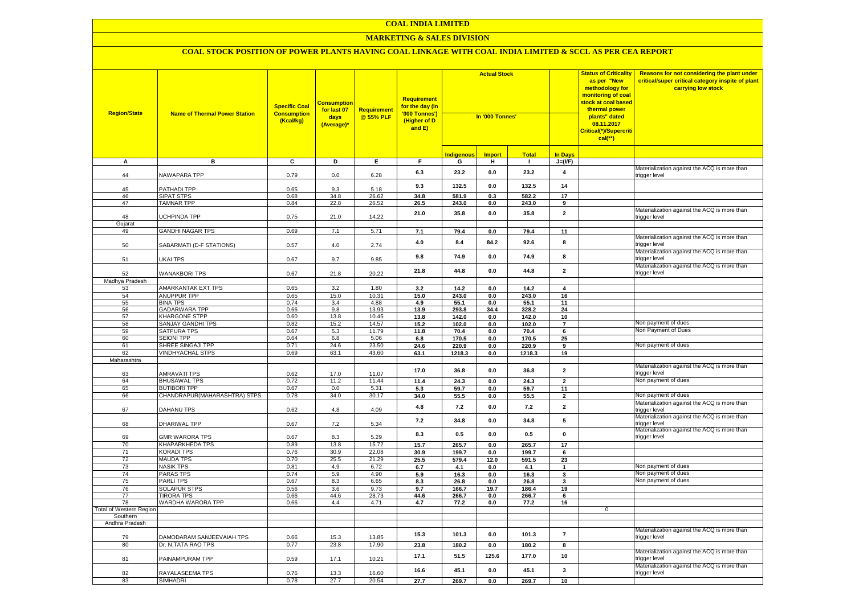#### **MARKETING & SALES DIVISION**

| <b>Region/State</b>            | <b>Name of Thermal Power Station</b>   | <b>Specific Coal</b><br><b>Consumption</b><br>(Kcal/kg) | <b>Consumption</b><br>for last 07<br>days<br>(Average)* | Requirement<br>@ 55% PLF | Requirement<br>f <mark>or the day (In</mark><br>'000 Tonnes')<br>(Higher of D<br>and E) | <b>Actual Stock</b><br>In '000 Tonnes' |               |                |                         | <b>Status of Criticality</b><br>as per "New<br>methodology for<br>monitoring of coal<br><mark>stock at coal based</mark><br>thermal power<br>plants" dated<br>08.11.2017<br>Critical(*)/Supercriti<br>$cal$ (**) | Reasons for not considering the plant under<br>critical/super critical category inspite of plant<br>carrying low stock |
|--------------------------------|----------------------------------------|---------------------------------------------------------|---------------------------------------------------------|--------------------------|-----------------------------------------------------------------------------------------|----------------------------------------|---------------|----------------|-------------------------|------------------------------------------------------------------------------------------------------------------------------------------------------------------------------------------------------------------|------------------------------------------------------------------------------------------------------------------------|
|                                |                                        |                                                         |                                                         |                          |                                                                                         | <b>Indigenous</b>                      | <b>Import</b> | <b>Total</b>   | <b>In Days</b>          |                                                                                                                                                                                                                  |                                                                                                                        |
| А                              | в                                      | $\overline{c}$                                          | Þ                                                       | E                        | $\overline{F}$                                                                          | G                                      | н             | $\blacksquare$ | $J=(VF)$                |                                                                                                                                                                                                                  |                                                                                                                        |
| 44                             | <b>NAWAPARA TPP</b>                    | 0.79                                                    | 0.0                                                     | 6.28                     | 6.3                                                                                     | 23.2                                   | 0.0           | 23.2           | $\overline{\mathbf{4}}$ |                                                                                                                                                                                                                  | Materialization against the ACQ is more than<br>rigger level                                                           |
| 45                             | PATHADI TPP                            | 0.65                                                    | 9.3                                                     | 5.18                     | 9.3                                                                                     | 132.5                                  | 0.0           | 132.5          | 14                      |                                                                                                                                                                                                                  |                                                                                                                        |
| 46                             | <b>SIPAT STPS</b>                      | 0.68                                                    | 34.8                                                    | 26.62                    | 34.8                                                                                    | 581.9                                  | 0.3           | 582.2          | 17                      |                                                                                                                                                                                                                  |                                                                                                                        |
| 47                             | <b>TAMNAR TPP</b>                      | 0.84                                                    | 22.8                                                    | $26.\overline{52}$       | 26.5                                                                                    | 243.0                                  | 0.0           | 243.0          | 9                       |                                                                                                                                                                                                                  |                                                                                                                        |
| 48<br>Gujarat                  | UCHPINDA TPP                           | 0.75                                                    | 21.0                                                    | 14.22                    | 21.0                                                                                    | 35.8                                   | 0.0           | 35.8           | $\overline{2}$          |                                                                                                                                                                                                                  | Materialization against the ACQ is more than<br>trigger level                                                          |
| 49                             | <b>GANDHI NAGAR TPS</b>                | 0.69                                                    | 7.1                                                     | 5.71                     | 7.1                                                                                     | 79.4                                   | 0.0           | 79.4           | 11                      |                                                                                                                                                                                                                  |                                                                                                                        |
| 50                             | SABARMATI (D-F STATIONS)               | 0.57                                                    | 4.0                                                     | 2.74                     | 4.0                                                                                     | 8.4                                    | 84.2          | 92.6           | 8                       |                                                                                                                                                                                                                  | Materialization against the ACQ is more than<br>trigger level                                                          |
| 51                             | UKAI TPS                               | 0.67                                                    | 9.7                                                     | 9.85                     | 9.8                                                                                     | 74.9                                   | 0.0           | 74.9           | 8                       |                                                                                                                                                                                                                  | Materialization against the ACQ is more than<br>rigger level:                                                          |
| 52                             | <b>WANAKBORI TPS</b>                   | 0.67                                                    | 21.8                                                    | 20.22                    | 21.8                                                                                    | 44.8                                   | 0.0           | 44.8           | $\overline{\mathbf{2}}$ |                                                                                                                                                                                                                  | Materialization against the ACQ is more than<br>trigger level                                                          |
| Madhya Pradesh                 |                                        |                                                         |                                                         |                          |                                                                                         |                                        |               |                |                         |                                                                                                                                                                                                                  |                                                                                                                        |
| 53                             | <b>AMARKANTAK EXT TPS</b>              | 0.65                                                    | 3.2                                                     | 1.80                     | 3.2                                                                                     | 14.2                                   | 0.0           | 14.2           | $\overline{\mathbf{4}}$ |                                                                                                                                                                                                                  |                                                                                                                        |
| 54                             | <b>ANUPPUR TPP</b>                     | 0.65                                                    | 15.0                                                    | 10.31                    | 15.0                                                                                    | 243.0                                  | 0.0           | 243.0          | 16                      |                                                                                                                                                                                                                  |                                                                                                                        |
| 55                             | <b>BINA TPS</b>                        | 0.74                                                    | 3.4                                                     | 4.88                     | 4.9                                                                                     | 55.1                                   | 0.0           | 55.1           | 11                      |                                                                                                                                                                                                                  |                                                                                                                        |
| 56                             | <b>GADARWARA TPP</b>                   | 0.66                                                    | 9.8                                                     | 13.93                    | 13.9                                                                                    | 293.8                                  | 34.4          | 328.2          | 24                      |                                                                                                                                                                                                                  |                                                                                                                        |
| 57                             | <b>KHARGONE STPP</b>                   | 0.60                                                    | 13.8                                                    | 10.45                    | 13.8                                                                                    | 142.0                                  | 0.0           | 142.0          | 10                      |                                                                                                                                                                                                                  |                                                                                                                        |
| 58                             | <b>SANJAY GANDHI TPS</b>               | 0.82                                                    | 15.2                                                    | 14.57                    | 15.2                                                                                    | 102.0                                  | 0.0           | 102.0          | $\overline{7}$          |                                                                                                                                                                                                                  | Non payment of dues                                                                                                    |
| 59                             | <b>SATPURA TPS</b>                     | 0.67                                                    | 5.3                                                     | 11.79                    | 11.8                                                                                    | 70.4                                   | 0.0           | 70.4           | $6\overline{6}$         |                                                                                                                                                                                                                  | Non Payment of Dues                                                                                                    |
| 60                             | <b>SEIONI TPP</b>                      | 0.64                                                    | 6.8                                                     | 5.06                     | 6.8                                                                                     | 170.5                                  | 0.0           | 170.5          | 25                      |                                                                                                                                                                                                                  |                                                                                                                        |
| 61                             | SHREE SINGAJI TPP                      | 0.71                                                    | 24.6                                                    | 23.50                    | 24.6                                                                                    | 220.9                                  | 0.0           | 220.9          | 9                       |                                                                                                                                                                                                                  | Non payment of dues                                                                                                    |
| 62<br>Maharashtra              | <b>VINDHYACHAL STPS</b>                | 0.69                                                    | 63.1                                                    | 43.60                    | 63.1                                                                                    | 1218.3                                 | $0.0\,$       | 1218.3         | 19                      |                                                                                                                                                                                                                  |                                                                                                                        |
| 63                             | <b>AMRAVATI TPS</b>                    | 0.62                                                    | 17.0                                                    | 11.07                    | 17.0                                                                                    | 36.8                                   | 0.0           | 36.8           | $\overline{\mathbf{2}}$ |                                                                                                                                                                                                                  | Materialization against the ACQ is more than<br>rigger level:                                                          |
| 64                             | <b>BHUSAWAL TPS</b>                    | 0.72                                                    | 11.2                                                    | 11.44                    | 11.4                                                                                    | 24.3                                   | $0.0\,$       | 24.3           | $\mathbf 2$             |                                                                                                                                                                                                                  | Non payment of dues                                                                                                    |
| 65                             | <b>BUTIBORI TPP</b>                    | 0.67                                                    | 0.0                                                     | 5.31                     | 5.3                                                                                     | 59.7                                   | 0.0           | 59.7           | 11                      |                                                                                                                                                                                                                  |                                                                                                                        |
| 66                             | CHANDRAPUR (MAHARASHTRA) STPS          | 0.78                                                    | 34.0                                                    | 30.17                    | 34.0                                                                                    | 55.5                                   | 0.0           | 55.5           | $\overline{2}$          |                                                                                                                                                                                                                  | Non payment of dues                                                                                                    |
| 67                             | DAHANU TPS                             | 0.62                                                    | 4.8                                                     | 4.09                     | 4.8                                                                                     | 7.2                                    | 0.0           | $7.2$          | $\overline{\mathbf{2}}$ |                                                                                                                                                                                                                  | Materialization against the ACQ is more than<br>trigger level                                                          |
| 68                             | DHARIWAL TPP                           | 0.67                                                    | 7.2                                                     | 5.34                     | $7.2$                                                                                   | 34.8                                   | 0.0           | 34.8           | 5                       |                                                                                                                                                                                                                  | Materialization against the ACQ is more than<br>trigger level                                                          |
| 69                             | <b>GMR WARORA TPS</b>                  | 0.67                                                    | 8.3                                                     | 5.29                     | 8.3                                                                                     | 0.5                                    | 0.0           | 0.5            | $\mathbf 0$             |                                                                                                                                                                                                                  | Materialization against the ACQ is more than<br>trigger level                                                          |
| 70                             | <b>KHAPARKHEDA TPS</b>                 | 0.89                                                    | 13.8                                                    | 15.72                    | 15.7                                                                                    | 265.7                                  | 0.0           | 265.7          | 17                      |                                                                                                                                                                                                                  |                                                                                                                        |
| 71                             | <b>KORADI TPS</b>                      | 0.76                                                    | 30.9                                                    | 22.08                    | 30.9                                                                                    | 199.7                                  | $0.0\,$       | 199.7          | 6                       |                                                                                                                                                                                                                  |                                                                                                                        |
| 72                             | <b>MAUDA TPS</b>                       | 0.70                                                    | 25.5                                                    | 21.29                    | 25.5                                                                                    | 579.4                                  | 12.0          | 591.5          | 23                      |                                                                                                                                                                                                                  |                                                                                                                        |
| 73                             | <b>NASIK TPS</b>                       | 0.81                                                    | 4.9                                                     | 6.72                     | 6.7                                                                                     | 4.1                                    | 0.0           | 4.1            | $\mathbf{1}$            |                                                                                                                                                                                                                  | Non payment of dues                                                                                                    |
| 74                             | <b>PARAS TPS</b>                       | 0.74                                                    | 5.9                                                     | 4.90                     | 5.9                                                                                     | 16.3                                   | 0.0           | 16.3           | 3                       |                                                                                                                                                                                                                  | Non payment of dues<br>Non payment of dues                                                                             |
| 75<br>76                       | <b>PARLITPS</b><br><b>SOLAPUR STPS</b> | 0.67<br>0.56                                            | 8.3<br>3.6                                              | 6.65<br>9.73             | 8.3<br>9.7                                                                              | 26.8<br>166.7                          | 0.0<br>19.7   | 26.8           | 3<br>19                 |                                                                                                                                                                                                                  |                                                                                                                        |
| 77                             | <b>TIRORA TPS</b>                      | 0.66                                                    | 44.6                                                    | 28.73                    | 44.6                                                                                    | 266.7                                  | 0.0           | 186.4<br>266.7 | 6                       |                                                                                                                                                                                                                  |                                                                                                                        |
| 78                             | WARDHA WARORA TPP                      | 0.66                                                    | 4.4                                                     | 4.71                     | 4.7                                                                                     | 77.2                                   | 0.0           | 77.2           | 16                      |                                                                                                                                                                                                                  |                                                                                                                        |
| <b>Total of Western Region</b> |                                        |                                                         |                                                         |                          |                                                                                         |                                        |               |                |                         | $\mathbf 0$                                                                                                                                                                                                      |                                                                                                                        |
| Southern                       |                                        |                                                         |                                                         |                          |                                                                                         |                                        |               |                |                         |                                                                                                                                                                                                                  |                                                                                                                        |
| Andhra Pradesh                 |                                        |                                                         |                                                         |                          |                                                                                         |                                        |               |                |                         |                                                                                                                                                                                                                  |                                                                                                                        |
| 79                             | DAMODARAM SANJEEVAIAH TPS              | 0.66                                                    | 15.3                                                    | 13.85                    | 15.3                                                                                    | 101.3                                  | 0.0           | 101.3          | $\overline{7}$          |                                                                                                                                                                                                                  | Materialization against the ACQ is more than<br>trigger level                                                          |
| 80                             | Dr. N.TATA RAO TPS                     | 0.77                                                    | 23.8                                                    | 17.90                    | 23.8                                                                                    | 180.2                                  | 0.0           | 180.2          | 8                       |                                                                                                                                                                                                                  |                                                                                                                        |
| 81                             | PAINAMPURAM TPP                        | 0.59                                                    | 17.1                                                    | 10.21                    | 17.1                                                                                    | 51.5                                   | 125.6         | 177.0          | 10                      |                                                                                                                                                                                                                  | Materialization against the ACQ is more than<br>rigger level                                                           |
| 82                             | RAYALASEEMA TPS                        | 0.76                                                    | 13.3                                                    | 16.60                    | 16.6                                                                                    | 45.1                                   | 0.0           | 45.1           | 3                       |                                                                                                                                                                                                                  | Materialization against the ACQ is more than<br>trigger level                                                          |
| 83                             | <b>SIMHADRI</b>                        | 0.78                                                    | 27.7                                                    | 20.54                    | 27.7                                                                                    | 269.7                                  | 0.0           | 269.7          | 10                      |                                                                                                                                                                                                                  |                                                                                                                        |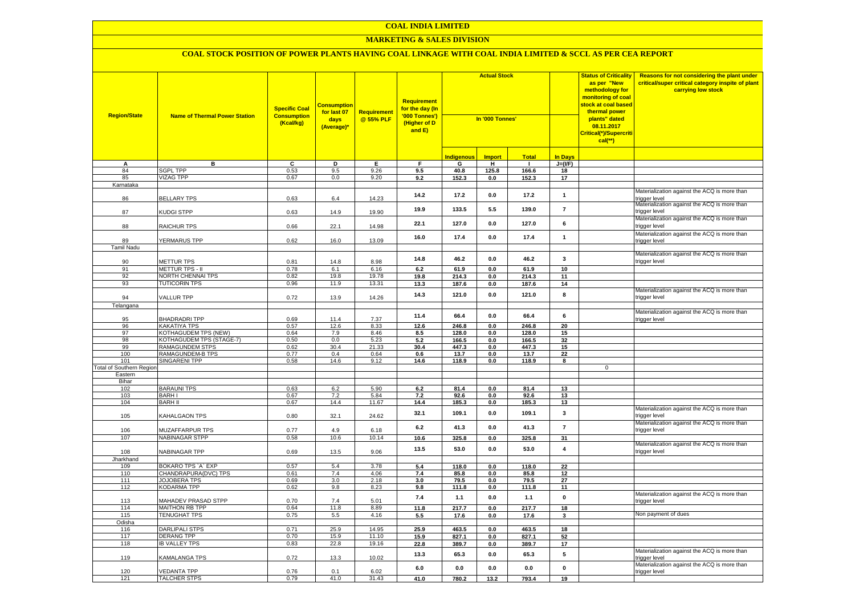#### **MARKETING & SALES DIVISION**

| <b>Region/State</b>             | <b>Name of Thermal Power Station</b>        | <b>Specific Coal</b><br><b>Consumption</b><br>(Kcal/kg) | <b>Consumption</b><br>for last 07<br>days<br>(Average)* | Requirement<br>@ 55% PLF | <b>Requirement</b><br>for the day (In<br>'000 Tonnes')<br>(Higher of D<br>and E) | <b>Actual Stock</b><br>In '000 Tonnes' |                       |                |                 | <b>Status of Criticality</b><br>as per "New<br>methodology for<br>monitoring of coal<br><mark>stock at coal based</mark><br>thermal power<br>plants" dated<br>08.11.2017<br>Critical(*)/Supercriti<br>$cal$ (**) | Reasons for not considering the plant under<br>critical/super critical category inspite of plant<br>carrying low stock |
|---------------------------------|---------------------------------------------|---------------------------------------------------------|---------------------------------------------------------|--------------------------|----------------------------------------------------------------------------------|----------------------------------------|-----------------------|----------------|-----------------|------------------------------------------------------------------------------------------------------------------------------------------------------------------------------------------------------------------|------------------------------------------------------------------------------------------------------------------------|
|                                 |                                             |                                                         |                                                         |                          |                                                                                  | <b>Indigenous</b>                      | <b>Import</b>         | <b>Total</b>   | <b>In Days</b>  |                                                                                                                                                                                                                  |                                                                                                                        |
| А                               | в                                           | c                                                       | Þ                                                       | Ε                        | E                                                                                | G                                      | Ŧ                     | ᠇              | $J=(VF)$        |                                                                                                                                                                                                                  |                                                                                                                        |
| 84                              | <b>SGPL TPP</b>                             | 0.53                                                    | 9.5                                                     | 9.26                     | 9.5                                                                              | 40.8                                   | 125.8                 | 166.6          | 18              |                                                                                                                                                                                                                  |                                                                                                                        |
| 85                              | <b>VIZAG TPP</b>                            | 0.67                                                    | 0.0                                                     | 9.20                     | 9.2                                                                              | 152.3                                  | 0.0                   | 152.3          | 17              |                                                                                                                                                                                                                  |                                                                                                                        |
| Karnataka                       |                                             |                                                         |                                                         |                          |                                                                                  |                                        |                       |                |                 |                                                                                                                                                                                                                  |                                                                                                                        |
| 86                              | <b>BELLARY TPS</b>                          | 0.63                                                    | 6.4                                                     | 14.23                    | 14.2                                                                             | 17.2                                   | 0.0                   | 17.2           | $\mathbf{1}$    |                                                                                                                                                                                                                  | Materialization against the ACQ is more than<br>rigger level                                                           |
| 87                              | KUDGI STPP                                  | 0.63                                                    | 14.9                                                    | 19.90                    | 19.9                                                                             | 133.5                                  | 5.5                   | 139.0          | $\overline{7}$  |                                                                                                                                                                                                                  | Materialization against the ACQ is more than<br>trigger level                                                          |
| 88                              | RAICHUR TPS                                 | 0.66                                                    | 22.1                                                    | 14.98                    | 22.1                                                                             | 127.0                                  | 0.0                   | 127.0          | 6               |                                                                                                                                                                                                                  | Materialization against the ACQ is more than<br>rigger level                                                           |
|                                 |                                             |                                                         |                                                         |                          | 16.0                                                                             | 17.4                                   | 0.0                   | 17.4           | $\overline{1}$  |                                                                                                                                                                                                                  | Materialization against the ACQ is more than                                                                           |
| 89<br><b>Tamil Nadu</b>         | YERMARUS TPP                                | 0.62                                                    | 16.0                                                    | 13.09                    |                                                                                  |                                        |                       |                |                 |                                                                                                                                                                                                                  | rigger level                                                                                                           |
| 90                              | METTUR TPS                                  | 0.81                                                    | 14.8                                                    | 8.98                     | 14.8                                                                             | 46.2                                   | 0.0                   | 46.2           | 3               |                                                                                                                                                                                                                  | Materialization against the ACQ is more than<br>trigger level                                                          |
| 91                              | <b>METTUR TPS - II</b>                      | 0.78                                                    | 6.1                                                     | 6.16                     | 6.2                                                                              | 61.9                                   | 0.0                   | 61.9           | 10              |                                                                                                                                                                                                                  |                                                                                                                        |
| 92                              | NORTH CHENNAI TPS                           | 0.82                                                    | 19.8                                                    | 19.78                    | 19.8                                                                             | 214.3                                  | $0.0\,$               | 214.3          | 11              |                                                                                                                                                                                                                  |                                                                                                                        |
| 93                              | <b>TUTICORIN TPS</b>                        | 0.96                                                    | 11.9                                                    | 13.31                    | 13.3                                                                             | 187.6                                  | 0.0                   | 187.6          | 14              |                                                                                                                                                                                                                  |                                                                                                                        |
| 94                              | <b>VALLUR TPP</b>                           | 0.72                                                    | 13.9                                                    | 14.26                    | 14.3                                                                             | 121.0                                  | 0.0                   | 121.0          | 8               |                                                                                                                                                                                                                  | Materialization against the ACQ is more than<br>rigger level                                                           |
| Telangana                       |                                             |                                                         |                                                         |                          |                                                                                  |                                        |                       |                |                 |                                                                                                                                                                                                                  |                                                                                                                        |
|                                 |                                             |                                                         |                                                         |                          | 11.4                                                                             | 66.4                                   | 0.0                   | 66.4           | 6               |                                                                                                                                                                                                                  | Materialization against the ACQ is more than                                                                           |
| 95                              | <b>BHADRADRITPP</b>                         | 0.69                                                    | 11.4                                                    | 7.37                     |                                                                                  |                                        |                       |                |                 |                                                                                                                                                                                                                  | rigger level                                                                                                           |
| 96                              | KAKATIYA TPS                                | 0.57                                                    | 12.6                                                    | 8.33                     | 12.6                                                                             | 246.8                                  | 0.0                   | 246.8          | 20              |                                                                                                                                                                                                                  |                                                                                                                        |
| 97                              | KOTHAGUDEM TPS (NEW)                        | 0.64                                                    | 7.9                                                     | 8.46                     | 8.5                                                                              | 128.0                                  | 0.0                   | 128.0          | 15              |                                                                                                                                                                                                                  |                                                                                                                        |
| 98<br>99                        | KOTHAGUDEM TPS (STAGE-7)<br>RAMAGUNDEM STPS | 0.50<br>0.62                                            | $0.0\,$<br>30.4                                         | 5.23<br>21.33            | 5.2<br>30.4                                                                      | 166.5<br>447.3                         | $0.0\,$<br>$0.0\,$    | 166.5<br>447.3 | 32<br>15        |                                                                                                                                                                                                                  |                                                                                                                        |
| 100                             | RAMAGUNDEM-B TPS                            | 0.77                                                    | 0.4                                                     | 0.64                     | 0.6                                                                              | 13.7                                   | $0.0\,$               | 13.7           | 22              |                                                                                                                                                                                                                  |                                                                                                                        |
| 101                             | SINGARENI TPP                               | 0.58                                                    | 14.6                                                    | 9.12                     | 14.6                                                                             | 118.9                                  | 0.0                   | 118.9          | 8               |                                                                                                                                                                                                                  |                                                                                                                        |
| <b>Total of Southern Region</b> |                                             |                                                         |                                                         |                          |                                                                                  |                                        |                       |                |                 | $\mathbf{0}$                                                                                                                                                                                                     |                                                                                                                        |
| Eastern                         |                                             |                                                         |                                                         |                          |                                                                                  |                                        |                       |                |                 |                                                                                                                                                                                                                  |                                                                                                                        |
| Bihar                           |                                             |                                                         |                                                         |                          |                                                                                  |                                        |                       |                |                 |                                                                                                                                                                                                                  |                                                                                                                        |
| 102                             | <b>BARAUNI TPS</b>                          | 0.63                                                    | 6.2                                                     | 5.90                     | 6.2                                                                              | 81.4                                   | 0.0                   | 81.4           | 13              |                                                                                                                                                                                                                  |                                                                                                                        |
| 103<br>104                      | <b>BARHI</b><br><b>BARH II</b>              | 0.67<br>0.67                                            | 7.2<br>14.4                                             | 5.84<br>11.67            | 7.2<br>14.4                                                                      | 92.6<br>185.3                          | 0.0<br>0.0            | 92.6<br>185.3  | 13<br>13        |                                                                                                                                                                                                                  |                                                                                                                        |
| 105                             | KAHALGAON TPS                               | 0.80                                                    | 32.1                                                    | 24.62                    | 32.1                                                                             | 109.1                                  | 0.0                   | 109.1          | 3               |                                                                                                                                                                                                                  | Materialization against the ACQ is more than<br>trigger level                                                          |
|                                 |                                             |                                                         |                                                         |                          | 6.2                                                                              | 41.3                                   | 0.0                   | 41.3           | $\overline{7}$  |                                                                                                                                                                                                                  | Materialization against the ACQ is more than                                                                           |
| 106<br>107                      | MUZAFFARPUR TPS<br><b>NABINAGAR STPP</b>    | 0.77<br>0.58                                            | 4.9<br>10.6                                             | 6.18<br>10.14            |                                                                                  |                                        |                       |                |                 |                                                                                                                                                                                                                  | trigger level                                                                                                          |
|                                 |                                             |                                                         |                                                         |                          | 10.6<br>13.5                                                                     | 325.8<br>53.0                          | $\mathbf{0.0}$<br>0.0 | 325.8<br>53.0  | 31<br>$\pmb{4}$ |                                                                                                                                                                                                                  | Materialization against the ACQ is more than                                                                           |
| 108                             | NABINAGAR TPP                               | 0.69                                                    | 13.5                                                    | 9.06                     |                                                                                  |                                        |                       |                |                 |                                                                                                                                                                                                                  | rigger level                                                                                                           |
| Jharkhand                       |                                             |                                                         |                                                         |                          |                                                                                  |                                        |                       |                |                 |                                                                                                                                                                                                                  |                                                                                                                        |
| 109                             | <b>BOKARO TPS `A` EXP</b>                   | 0.57                                                    | 5.4                                                     | 3.78                     | 5.4                                                                              | 118.0                                  | 0.0                   | 118.0          | 22              |                                                                                                                                                                                                                  |                                                                                                                        |
| 110<br>111                      | CHANDRAPURA(DVC) TPS<br>JOJOBERA TPS        | 0.61<br>0.69                                            | 7.4<br>3.0                                              | 4.06<br>2.18             | 7.4<br>3.0                                                                       | 85.8<br>79.5                           | 0.0<br>0.0            | 85.8<br>79.5   | 12<br>27        |                                                                                                                                                                                                                  |                                                                                                                        |
| 112                             | <b>KODARMA TPP</b>                          | 0.62                                                    | 9.8                                                     | 8.23                     | 9.8                                                                              | 111.8                                  | 0.0                   | 111.8          | 11              |                                                                                                                                                                                                                  |                                                                                                                        |
| 113                             | <b>MAHADEV PRASAD STPP</b>                  | 0.70                                                    | 7.4                                                     | 5.01                     | 7.4                                                                              | 1.1                                    | 0.0                   | $1.1$          | $\pmb{0}$       |                                                                                                                                                                                                                  | Materialization against the ACQ is more than<br>rigger level                                                           |
| 114                             | MAITHON RB TPP                              | 0.64                                                    | 11.8                                                    | 8.89                     | 11.8                                                                             | 217.7                                  | 0.0                   | 217.7          | 18              |                                                                                                                                                                                                                  |                                                                                                                        |
| 115                             | <b>TENUGHAT TPS</b>                         | 0.75                                                    | 5.5                                                     | 4.16                     | 5.5                                                                              | 17.6                                   | $0.0\,$               | 17.6           | 3               |                                                                                                                                                                                                                  | Non payment of dues                                                                                                    |
| Odisha                          |                                             |                                                         |                                                         |                          |                                                                                  |                                        |                       |                |                 |                                                                                                                                                                                                                  |                                                                                                                        |
| 116                             | DARLIPALI STPS                              | 0.71                                                    | 25.9                                                    | 14.95                    | 25.9                                                                             | 463.5                                  | 0.0                   | 463.5          | 18              |                                                                                                                                                                                                                  |                                                                                                                        |
| 117                             | <b>DERANG TPP</b>                           | 0.70                                                    | 15.9                                                    | 11.10                    | 15.9                                                                             | 827.1                                  | 0.0                   | 827.1          | 52              |                                                                                                                                                                                                                  |                                                                                                                        |
| 118                             | <b>IB VALLEY TPS</b>                        | 0.83                                                    | 22.8                                                    | 19.16                    | 22.8                                                                             | 389.7                                  | 0.0                   | 389.7          | 17              |                                                                                                                                                                                                                  |                                                                                                                        |
| 119                             | KAMALANGA TPS                               | 0.72                                                    | 13.3                                                    | 10.02                    | 13.3                                                                             | 65.3                                   | 0.0                   | 65.3           | 5               |                                                                                                                                                                                                                  | Materialization against the ACQ is more than<br>rigger level                                                           |
| 120                             | <b>VEDANTA TPP</b>                          | 0.76                                                    | 0.1                                                     | 6.02                     | 6.0                                                                              | 0.0                                    | 0.0                   | 0.0            | $\mathbf 0$     |                                                                                                                                                                                                                  | Materialization against the ACQ is more than<br>trigger level                                                          |
| 121                             | <b>TALCHER STPS</b>                         | 0.79                                                    | 41.0                                                    | 31.43                    | 41.0                                                                             | 780.2                                  | 13.2                  | 793.4          | 19              |                                                                                                                                                                                                                  |                                                                                                                        |